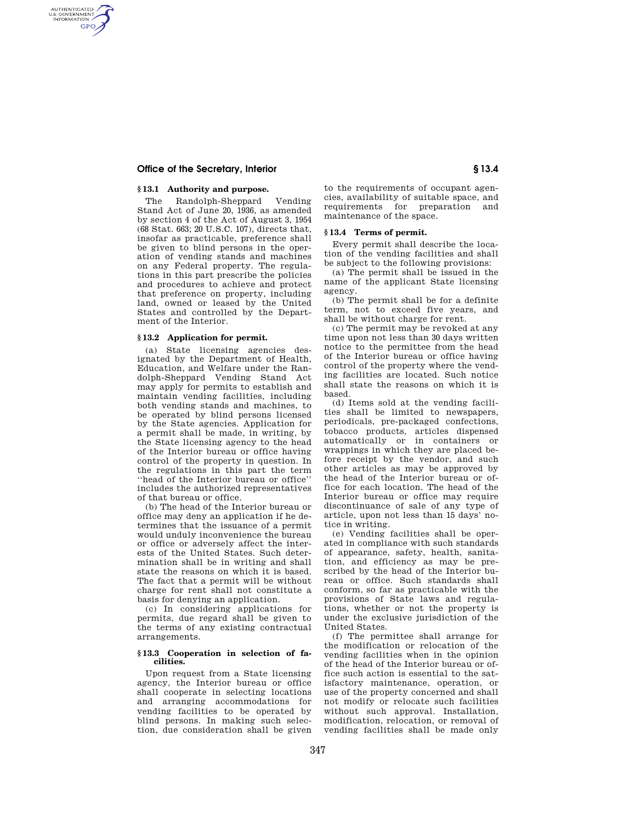# **Office of the Secretary, Interior § 13.4**

# **§ 13.1 Authority and purpose.**

AUTHENTICATED<br>U.S. GOVERNMENT<br>INFORMATION **GPO** 

> The Randolph-Sheppard Vending Stand Act of June 20, 1936, as amended by section 4 of the Act of August 3, 1954 (68 Stat. 663; 20 U.S.C. 107), directs that, insofar as practicable, preference shall be given to blind persons in the operation of vending stands and machines on any Federal property. The regulations in this part prescribe the policies and procedures to achieve and protect that preference on property, including land, owned or leased by the United States and controlled by the Department of the Interior.

#### **§ 13.2 Application for permit.**

(a) State licensing agencies designated by the Department of Health, Education, and Welfare under the Randolph-Sheppard Vending Stand Act may apply for permits to establish and maintain vending facilities, including both vending stands and machines, to be operated by blind persons licensed by the State agencies. Application for a permit shall be made, in writing, by the State licensing agency to the head of the Interior bureau or office having control of the property in question. In the regulations in this part the term ''head of the Interior bureau or office'' includes the authorized representatives of that bureau or office.

(b) The head of the Interior bureau or office may deny an application if he determines that the issuance of a permit would unduly inconvenience the bureau or office or adversely affect the interests of the United States. Such determination shall be in writing and shall state the reasons on which it is based. The fact that a permit will be without charge for rent shall not constitute a basis for denying an application.

(c) In considering applications for permits, due regard shall be given to the terms of any existing contractual arrangements.

#### **§ 13.3 Cooperation in selection of facilities.**

Upon request from a State licensing agency, the Interior bureau or office shall cooperate in selecting locations and arranging accommodations for vending facilities to be operated by blind persons. In making such selection, due consideration shall be given

to the requirements of occupant agencies, availability of suitable space, and requirements for preparation and maintenance of the space.

## **§ 13.4 Terms of permit.**

Every permit shall describe the location of the vending facilities and shall be subject to the following provisions:

(a) The permit shall be issued in the name of the applicant State licensing agency.

(b) The permit shall be for a definite term, not to exceed five years, and shall be without charge for rent.

(c) The permit may be revoked at any time upon not less than 30 days written notice to the permittee from the head of the Interior bureau or office having control of the property where the vending facilities are located. Such notice shall state the reasons on which it is based.

(d) Items sold at the vending facilities shall be limited to newspapers, periodicals, pre-packaged confections, tobacco products, articles dispensed automatically or in containers or wrappings in which they are placed before receipt by the vendor, and such other articles as may be approved by the head of the Interior bureau or office for each location. The head of the Interior bureau or office may require discontinuance of sale of any type of article, upon not less than 15 days' notice in writing.

(e) Vending facilities shall be operated in compliance with such standards of appearance, safety, health, sanitation, and efficiency as may be prescribed by the head of the Interior bureau or office. Such standards shall conform, so far as practicable with the provisions of State laws and regulations, whether or not the property is under the exclusive jurisdiction of the United States.

(f) The permittee shall arrange for the modification or relocation of the vending facilities when in the opinion of the head of the Interior bureau or office such action is essential to the satisfactory maintenance, operation, or use of the property concerned and shall not modify or relocate such facilities without such approval. Installation, modification, relocation, or removal of vending facilities shall be made only